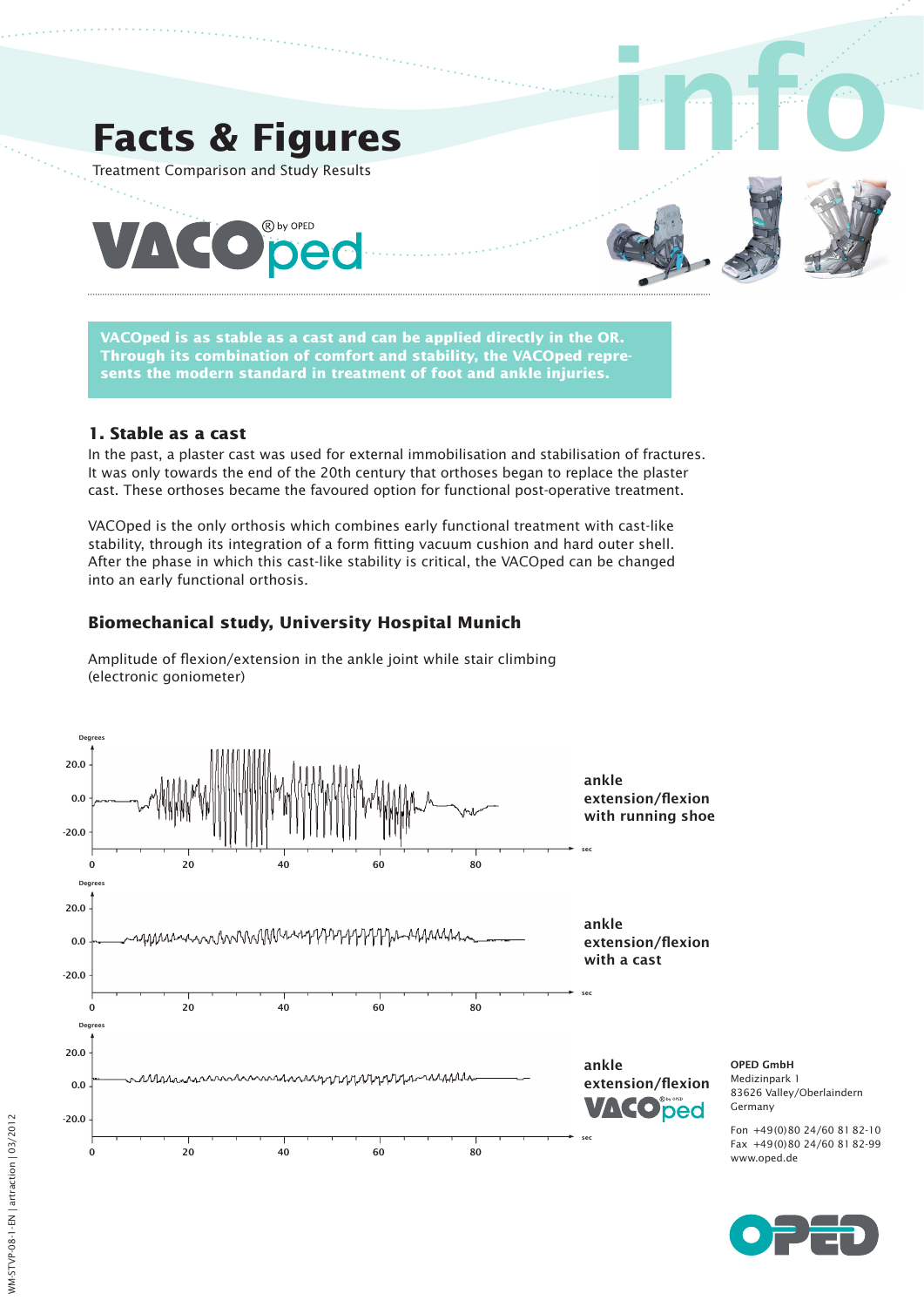

**VACOped is as stable as a cast and can be applied directly in the OR. Through its combination of comfort and stability, the VACOped represents the modern standard in treatment of foot and ankle injuries.**

### **1. Stable as a cast**

In the past, a plaster cast was used for external immobilisation and stabilisation of fractures. It was only towards the end of the 20th century that orthoses began to replace the plaster cast. These orthoses became the favoured option for functional post-operative treatment.

VACOped is the only orthosis which combines early functional treatment with cast-like stability, through its integration of a form fitting vacuum cushion and hard outer shell. After the phase in which this cast-like stability is critical, the VACOped can be changed into an early functional orthosis.

# **Biomechanical study, University Hospital Munich**

Amplitude of flexion/extension in the ankle joint while stair climbing (electronic goniometer)

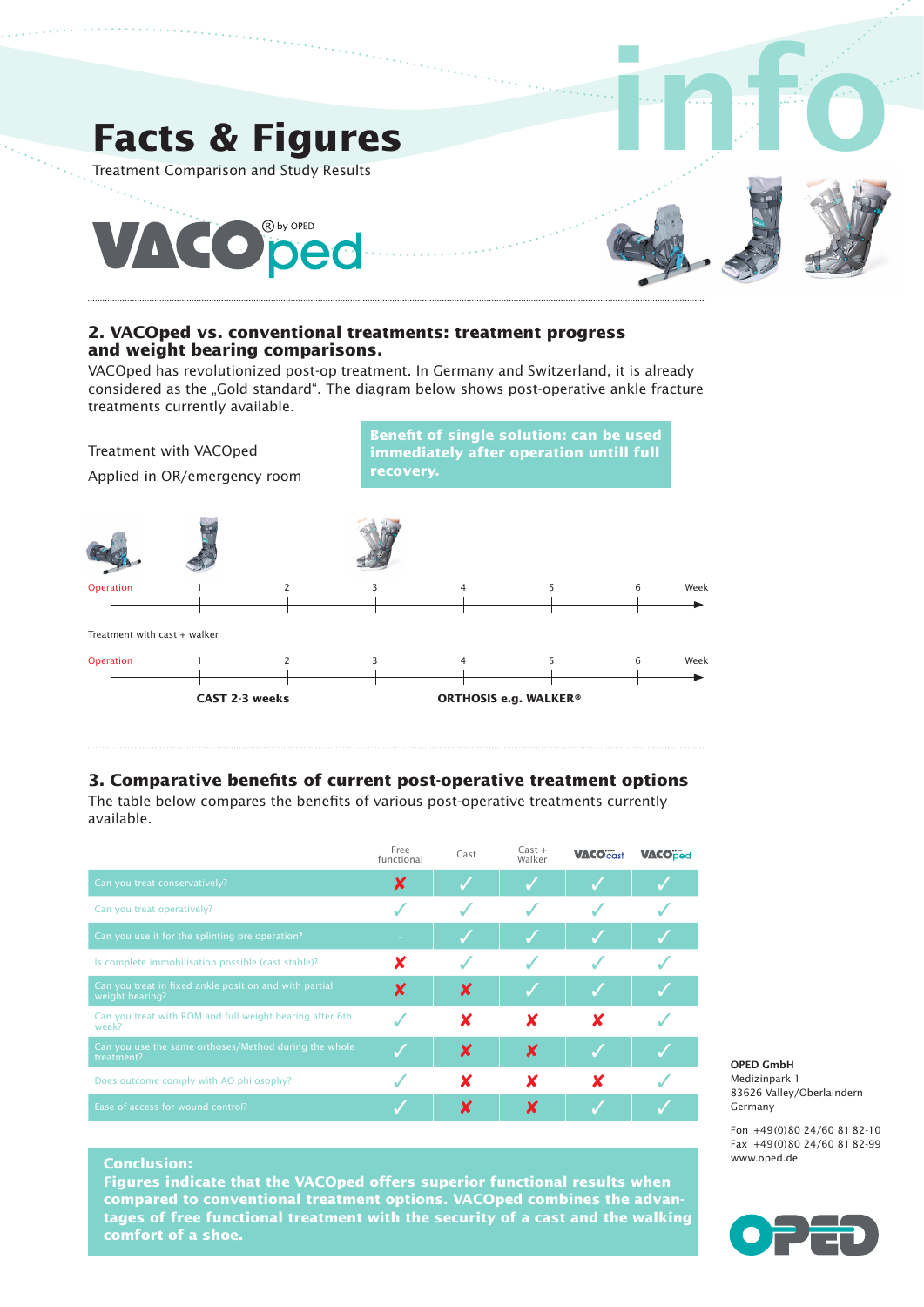

#### **2. VACOped vs. conventional treatments: treatment progress and weight bearing comparisons.**

VACOped has revolutionized post-op treatment. In Germany and Switzerland, it is already considered as the "Gold standard". The diagram below shows post-operative ankle fracture treatments currently available.



## **3. Comparative benefits of current post-operative treatment options**

The table below compares the benefits of various post-operative treatments currently available.

|                                                                           | Free<br>functional | Cast | $Cast +$<br>Walker | <b>VACOcast</b> | <b>VACOped</b> |
|---------------------------------------------------------------------------|--------------------|------|--------------------|-----------------|----------------|
| Can you treat conservatively?                                             | х                  |      |                    |                 |                |
| Can you treat operatively?                                                |                    |      |                    |                 |                |
| Can you use it for the splinting pre operation?                           |                    |      |                    |                 |                |
| Is complete immobilisation possible (cast stable)?                        |                    |      |                    |                 |                |
| Can you treat in fixed ankle position and with partial<br>weight bearing? | x                  | X    |                    |                 |                |
| Can you treat with ROM and full weight bearing after 6th<br>week?         |                    |      |                    |                 |                |
| Can you use the same orthoses/Method during the whole<br>treatment?       |                    | X    | X                  |                 |                |
| Does outcome comply with AO philosophy?                                   |                    |      |                    |                 |                |
| Ease of access for wound control?                                         |                    |      |                    |                 |                |

OPED GmbH Medizinpark 1 83626 Valley/Oberlaindern Germany

Fon +49(0)80 24/60 81 82-10 Fax +49(0)80 24/60 81 82-99 www.oped.de

#### **Conclusion:**

**Figures indicate that the VACOped offers superior functional results when compared to conventional treatment options. VACOped combines the advantages of free functional treatment with the security of a cast and the walking comfort of a shoe.**

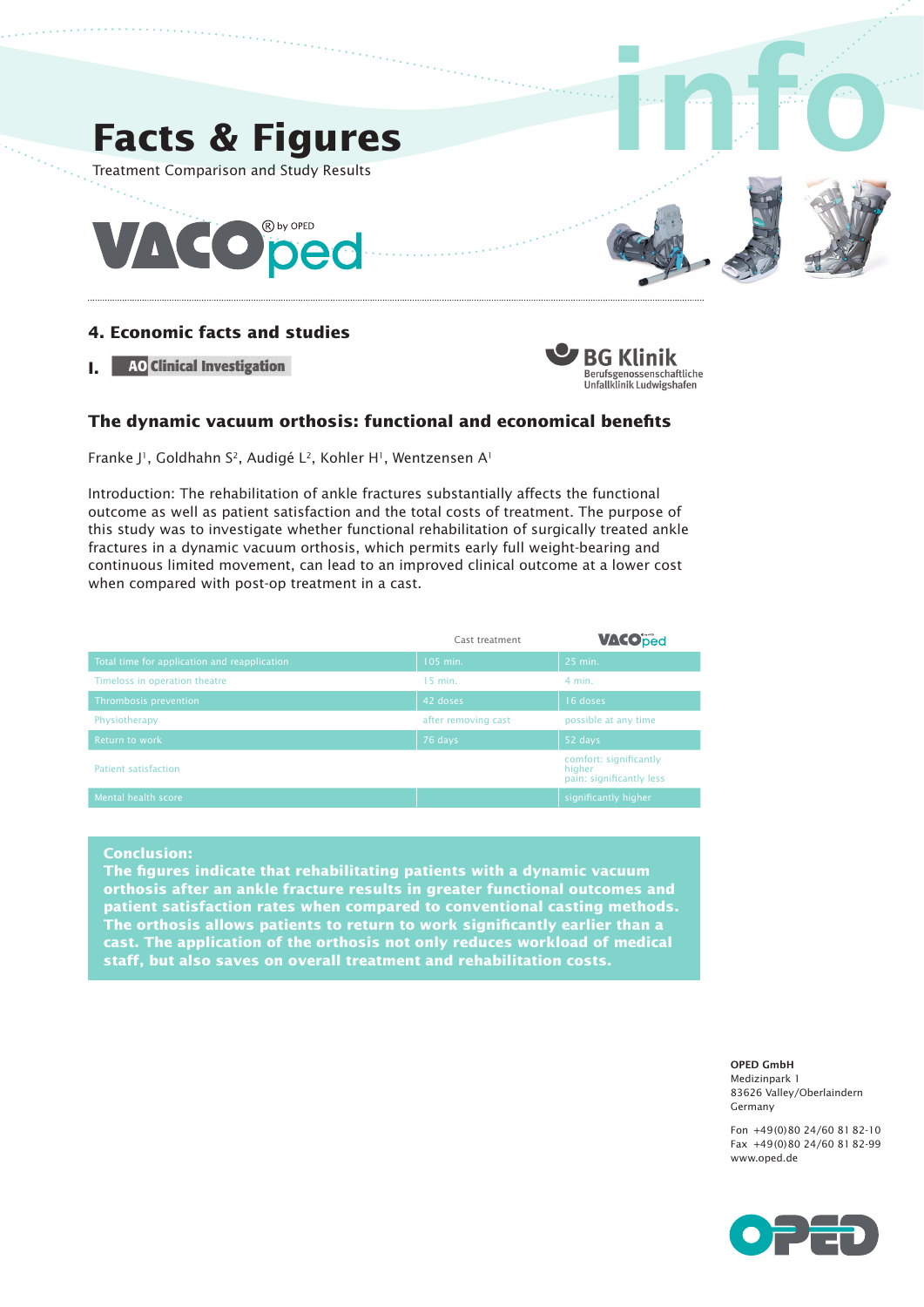

## **4. Economic facts and studies**

**I.** AO Clinical Investigation



## **The dynamic vacuum orthosis: functional and economical benefits**

Franke J<sup>1</sup>, Goldhahn S<sup>2</sup>, Audigé L<sup>2</sup>, Kohler H<sup>1</sup>, Wentzensen A<sup>1</sup>

Introduction: The rehabilitation of ankle fractures substantially affects the functional outcome as well as patient satisfaction and the total costs of treatment. The purpose of this study was to investigate whether functional rehabilitation of surgically treated ankle fractures in a dynamic vacuum orthosis, which permits early full weight-bearing and continuous limited movement, can lead to an improved clinical outcome at a lower cost when compared with post-op treatment in a cast.

|                                              | Cast treatment      | <b>VACOped</b>                                               |  |
|----------------------------------------------|---------------------|--------------------------------------------------------------|--|
| Total time for application and reapplication | 105 min.            | 25 min.                                                      |  |
| Timeloss in operation theatre                | 15 min.             | $4$ min.                                                     |  |
| Thrombosis prevention                        | 42 doses            | 16 doses                                                     |  |
| Physiotherapy                                | after removing cast | possible at any time                                         |  |
| Return to work                               | 76 days             | 52 days                                                      |  |
| Patient satisfaction                         |                     | comfort: significantly<br>higher<br>pain: significantly less |  |
| Mental health score                          |                     | significantly higher                                         |  |

**Conclusion:**

**The figures indicate that rehabilitating patients with a dynamic vacuum orthosis after an ankle fracture results in greater functional outcomes and patient satisfaction rates when compared to conventional casting methods. The orthosis allows patients to return to work significantly earlier than a cast. The application of the orthosis not only reduces workload of medical staff, but also saves on overall treatment and rehabilitation costs.**

> OPED GmbH Medizinpark 1 83626 Valley/Oberlaindern Germany

Fon +49(0)80 24/60 81 82-10 Fax +49(0)80 24/60 81 82-99 www.oped.de